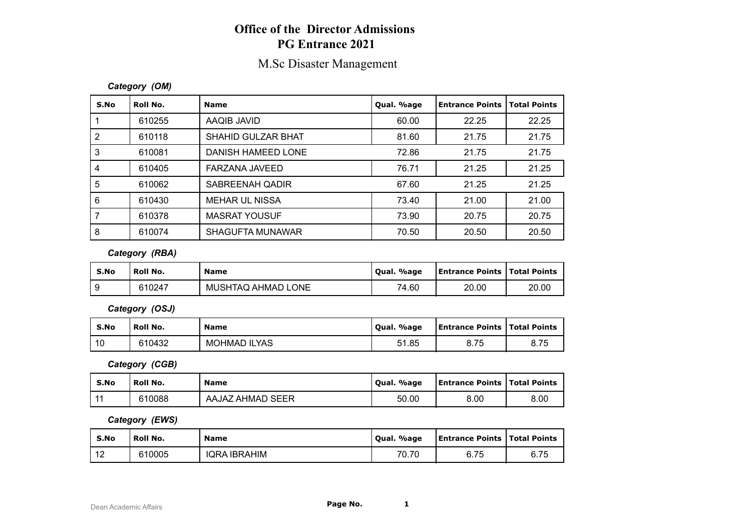## **Office of the Director Admissions PG Entrance 2021**

## M.Sc Disaster Management

### *Category (OM)*

| S.No | Roll No. | <b>Name</b>             | Qual. %age | <b>Entrance Points</b> | <b>Total Points</b> |
|------|----------|-------------------------|------------|------------------------|---------------------|
|      | 610255   | AAQIB JAVID             | 60.00      | 22.25                  | 22.25               |
| 2    | 610118   | SHAHID GULZAR BHAT      | 81.60      | 21.75                  | 21.75               |
| 3    | 610081   | DANISH HAMEED LONE      | 72.86      | 21.75                  | 21.75               |
| 4    | 610405   | FARZANA JAVEED          | 76.71      | 21.25                  | 21.25               |
| 5    | 610062   | SABREENAH QADIR         | 67.60      | 21.25                  | 21.25               |
| 6    | 610430   | MEHAR UL NISSA          | 73.40      | 21.00                  | 21.00               |
|      | 610378   | <b>MASRAT YOUSUF</b>    | 73.90      | 20.75                  | 20.75               |
| 8    | 610074   | <b>SHAGUFTA MUNAWAR</b> | 70.50      | 20.50                  | 20.50               |

### *Category (RBA)*

| S.No | ' Roll No. | <b>Name</b>        | Qual. %age | <b>Entrance Points   Total Points</b> |       |
|------|------------|--------------------|------------|---------------------------------------|-------|
|      | 610247     | MUSHTAQ AHMAD LONE | 74.60      | 20.00                                 | 20.00 |

*Category (OSJ)*

| S.No | Roll No. | <b>Name</b>         | . %age<br>Oual. | <b>Entrance Points   Total Points</b> |      |
|------|----------|---------------------|-----------------|---------------------------------------|------|
| 10   | 610432   | <b>MOHMAD ILYAS</b> | 51.85           | 8.75                                  | 8.75 |

*Category (CGB)*

| S.No           | Roll No. | <b>Name</b>      | . %age<br>' Oual. | <b>Entrance Points   Total Points</b> |      |
|----------------|----------|------------------|-------------------|---------------------------------------|------|
| $\overline{A}$ | 610088   | AAJAZ AHMAD SEER | 50.00             | 8.00                                  | 8.00 |

### *Category (EWS)*

| S.No           | Roll No. | <b>Name</b>  | . %age<br>' Oual. | <b>Entrance Points   Total Points</b> |                                        |
|----------------|----------|--------------|-------------------|---------------------------------------|----------------------------------------|
| $\sim$<br>- 11 | 610005   | IQRA IBRAHIM | 70.70             | 6.75                                  | $\overline{\phantom{a}}$<br>c.<br>6.75 |